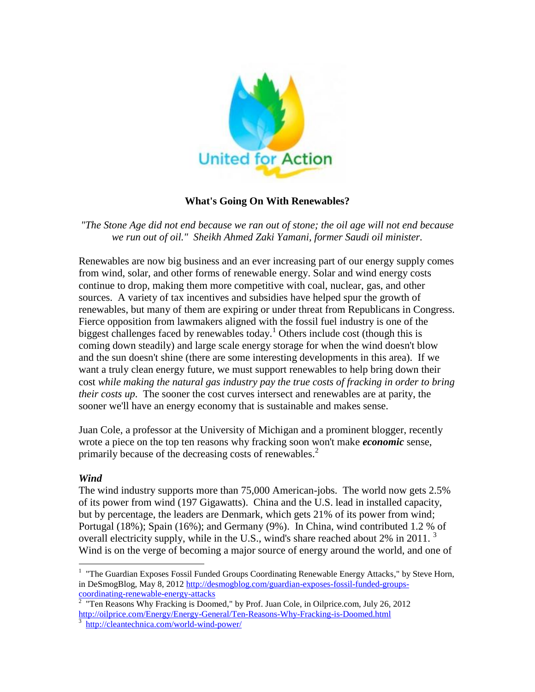

### **What's Going On With Renewables?**

*"The Stone Age did not end because we ran out of stone; the oil age will not end because we run out of oil." Sheikh Ahmed Zaki Yamani, former Saudi oil minister.*

Renewables are now big business and an ever increasing part of our energy supply comes from wind, solar, and other forms of renewable energy. Solar and wind energy costs continue to drop, making them more competitive with coal, nuclear, gas, and other sources. A variety of tax incentives and subsidies have helped spur the growth of renewables, but many of them are expiring or under threat from Republicans in Congress. Fierce opposition from lawmakers aligned with the fossil fuel industry is one of the biggest challenges faced by renewables today.<sup>1</sup> Others include cost (though this is coming down steadily) and large scale energy storage for when the wind doesn't blow and the sun doesn't shine (there are some interesting developments in this area). If we want a truly clean energy future, we must support renewables to help bring down their cost *while making the natural gas industry pay the true costs of fracking in order to bring their costs up*. The sooner the cost curves intersect and renewables are at parity, the sooner we'll have an energy economy that is sustainable and makes sense.

Juan Cole, a professor at the University of Michigan and a prominent blogger, recently wrote a piece on the top ten reasons why fracking soon won't make *economic* sense, primarily because of the decreasing costs of renewables. 2

### *Wind*

 $\overline{a}$ 

The wind industry supports more than 75,000 American-jobs. The world now gets 2.5% of its power from wind (197 Gigawatts). China and the U.S. lead in installed capacity, but by percentage, the leaders are Denmark, which gets 21% of its power from wind; Portugal (18%); Spain (16%); and Germany (9%). In China, wind contributed 1.2 % of overall electricity supply, while in the U.S., wind's share reached about 2% in 2011.  $3$ Wind is on the verge of becoming a major source of energy around the world, and one of

<sup>&</sup>lt;sup>1</sup> "The Guardian Exposes Fossil Funded Groups Coordinating Renewable Energy Attacks," by Steve Horn, in DeSmogBlog, May 8, 2012 [http://desmogblog.com/guardian-exposes-fossil-funded-groups](http://desmogblog.com/guardian-exposes-fossil-funded-groups-coordinating-renewable-energy-attacks)[coordinating-renewable-energy-attacks](http://desmogblog.com/guardian-exposes-fossil-funded-groups-coordinating-renewable-energy-attacks)<br><sup>2</sup> "Ten Reasons Why Fracking is Doomed," by Prof. Juan Cole, in Oilprice.com, July 26, 2012

<sup>&</sup>lt;sup>2</sup> "Ten Reasons Why Fracking is Doomed," by Prof. Juan Cole, in Oilprice.com, July 26, 2012 <http://oilprice.com/Energy/Energy-General/Ten-Reasons-Why-Fracking-is-Doomed.html><br>3 http://oilprice.html

<http://cleantechnica.com/world-wind-power/>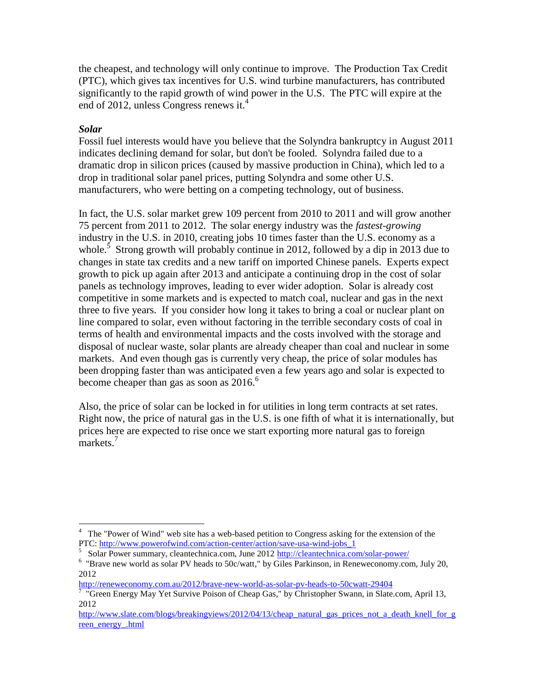the cheapest, and technology will only continue to improve. The Production Tax Credit (PTC), which gives tax incentives for U.S. wind turbine manufacturers, has contributed significantly to the rapid growth of wind power in the U.S. The PTC will expire at the end of 2012, unless Congress renews it.<sup>4</sup>

## *Solar*

Fossil fuel interests would have you believe that the Solyndra bankruptcy in August 2011 indicates declining demand for solar, but don't be fooled. Solyndra failed due to a dramatic drop in silicon prices (caused by massive production in China), which led to a drop in traditional solar panel prices, putting Solyndra and some other U.S. manufacturers, who were betting on a competing technology, out of business.

In fact, the U.S. solar market grew 109 percent from 2010 to 2011 and will grow another 75 percent from 2011 to 2012. The solar energy industry was the *fastest-growing* industry in the U.S. in 2010, creating jobs 10 times faster than the U.S. economy as a whole.<sup>5</sup> Strong growth will probably continue in 2012, followed by a dip in 2013 due to changes in state tax credits and a new tariff on imported Chinese panels. Experts expect growth to pick up again after 2013 and anticipate a continuing drop in the cost of solar panels as technology improves, leading to ever wider adoption. Solar is already cost competitive in some markets and is expected to match coal, nuclear and gas in the next three to five years. If you consider how long it takes to bring a coal or nuclear plant on line compared to solar, even without factoring in the terrible secondary costs of coal in terms of health and environmental impacts and the costs involved with the storage and disposal of nuclear waste, solar plants are already cheaper than coal and nuclear in some markets. And even though gas is currently very cheap, the price of solar modules has been dropping faster than was anticipated even a few years ago and solar is expected to become cheaper than gas as soon as  $2016<sup>6</sup>$ 

Also, the price of solar can be locked in for utilities in long term contracts at set rates. Right now, the price of natural gas in the U.S. is one fifth of what it is internationally, but prices here are expected to rise once we start exporting more natural gas to foreign markets.<sup>7</sup>

 $\overline{a}$ <sup>4</sup> The "Power of Wind" web site has a web-based petition to Congress asking for the extension of the PTC[: http://www.powerofwind.com/action-center/action/save-usa-wind-jobs\\_1](http://www.powerofwind.com/action-center/action/save-usa-wind-jobs_1)

<sup>&</sup>lt;sup>5</sup> Solar Power summary, cleantechnica.com, June 2012<http://cleantechnica.com/solar-power/>

<sup>&</sup>lt;sup>6</sup> "Brave new world as solar PV heads to 50c/watt," by Giles Parkinson, in Reneweconomy.com, July 20, 2012

<http://reneweconomy.com.au/2012/brave-new-world-as-solar-pv-heads-to-50cwatt-29404>

<sup>&</sup>lt;sup>7</sup> "Green Energy May Yet Survive Poison of Cheap Gas," by Christopher Swann, in Slate.com, April 13, 2012

[http://www.slate.com/blogs/breakingviews/2012/04/13/cheap\\_natural\\_gas\\_prices\\_not\\_a\\_death\\_knell\\_for\\_g](http://www.slate.com/blogs/breakingviews/2012/04/13/cheap_natural_gas_prices_not_a_death_knell_for_green_energy_.html) [reen\\_energy\\_.html](http://www.slate.com/blogs/breakingviews/2012/04/13/cheap_natural_gas_prices_not_a_death_knell_for_green_energy_.html)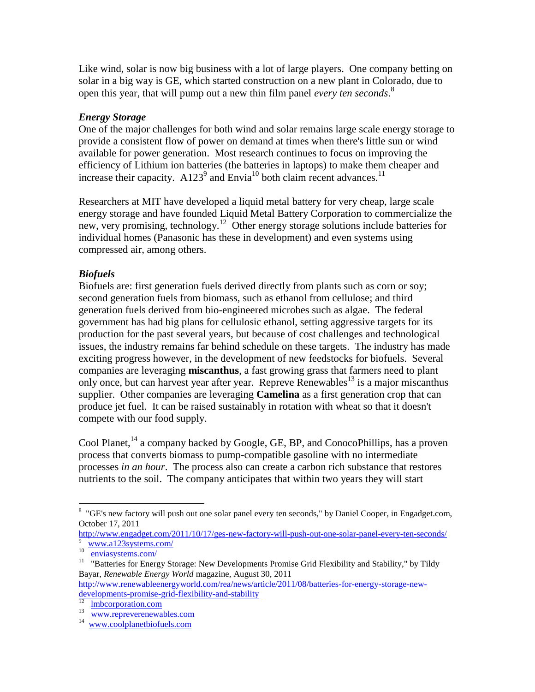Like wind, solar is now big business with a lot of large players. One company betting on solar in a big way is GE, which started construction on a new plant in Colorado, due to open this year, that will pump out a new thin film panel *every ten seconds*. 8

## *Energy Storage*

One of the major challenges for both wind and solar remains large scale energy storage to provide a consistent flow of power on demand at times when there's little sun or wind available for power generation. Most research continues to focus on improving the efficiency of Lithium ion batteries (the batteries in laptops) to make them cheaper and increase their capacity.  $A123^9$  and Envia<sup>10</sup> both claim recent advances.<sup>11</sup>

Researchers at MIT have developed a liquid metal battery for very cheap, large scale energy storage and have founded Liquid Metal Battery Corporation to commercialize the new, very promising, technology.<sup>12</sup> Other energy storage solutions include batteries for individual homes (Panasonic has these in development) and even systems using compressed air, among others.

# *Biofuels*

Biofuels are: first generation fuels derived directly from plants such as corn or soy; second generation fuels from biomass, such as ethanol from cellulose; and third generation fuels derived from bio-engineered microbes such as algae. The federal government has had big plans for cellulosic ethanol, setting aggressive targets for its production for the past several years, but because of cost challenges and technological issues, the industry remains far behind schedule on these targets. The industry has made exciting progress however, in the development of new feedstocks for biofuels. Several companies are leveraging **miscanthus**, a fast growing grass that farmers need to plant only once, but can harvest year after year. Repreve Renewables<sup>13</sup> is a major miscanthus supplier. Other companies are leveraging **Camelina** as a first generation crop that can produce jet fuel. It can be raised sustainably in rotation with wheat so that it doesn't compete with our food supply.

Cool Planet,  $^{14}$  a company backed by Google, GE, BP, and ConocoPhillips, has a proven process that converts biomass to pump-compatible gasoline with no intermediate processes *in an hour*. The process also can create a carbon rich substance that restores nutrients to the soil. The company anticipates that within two years they will start

 $\overline{a}$ <sup>8</sup> "GE's new factory will push out one solar panel every ten seconds," by Daniel Cooper, in Engadget.com, October 17, 2011

<http://www.engadget.com/2011/10/17/ges-new-factory-will-push-out-one-solar-panel-every-ten-seconds/> 9 [www.a123systems.com/](http://www.a123systems.com/)

 $10^{-7}$ [enviasystems.com/](file:///C:/Documents%20and%20Settings/Sharon%20Goodman/Local%20Settings/Temporary%20Internet%20Files/Content.IE5/Local%20Settings/Temporary%20Internet%20Files/Content.IE5/84Z0D3FK/enviasystems.com/)

<sup>&</sup>lt;sup>11</sup> "Batteries for Energy Storage: New Developments Promise Grid Flexibility and Stability," by Tildy Bayar, *Renewable Energy World* magazine, August 30, 2011

[http://www.renewableenergyworld.com/rea/news/article/2011/08/batteries-for-energy-storage-new](http://www.renewableenergyworld.com/rea/news/article/2011/08/batteries-for-energy-storage-new-developments-promise-grid-flexibility-and-stability)[developments-promise-grid-flexibility-and-stability](http://www.renewableenergyworld.com/rea/news/article/2011/08/batteries-for-energy-storage-new-developments-promise-grid-flexibility-and-stability)

<sup>&</sup>lt;sup>12</sup> Imbcorporation.com

<sup>13</sup> [www.repreverenewables.com](http://www.repreverenewables.com/)

<sup>&</sup>lt;sup>14</sup> [www.coolplanetbiofuels.com](http://www.coolplanetbiofuels.com/)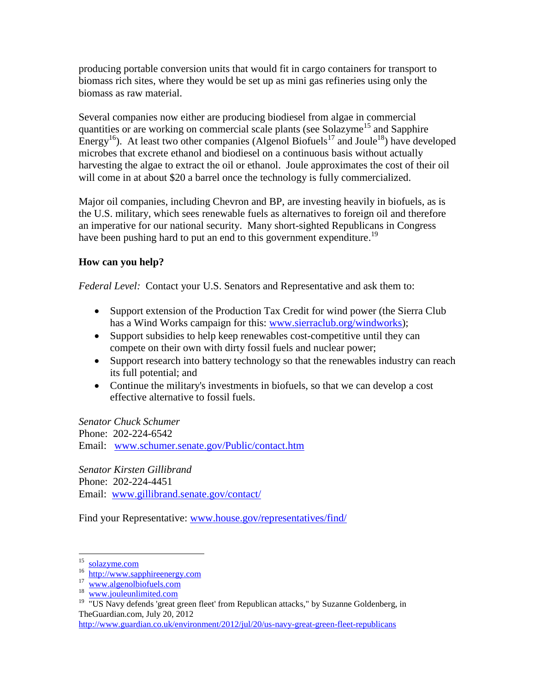producing portable conversion units that would fit in cargo containers for transport to biomass rich sites, where they would be set up as mini gas refineries using only the biomass as raw material.

Several companies now either are producing biodiesel from algae in commercial quantities or are working on commercial scale plants (see Solazyme<sup>15</sup> and Sapphire Energy<sup>16</sup>). At least two other companies (Algenol Biofuels<sup>17</sup> and Joule<sup>18</sup>) have developed microbes that excrete ethanol and biodiesel on a continuous basis without actually harvesting the algae to extract the oil or ethanol. Joule approximates the cost of their oil will come in at about \$20 a barrel once the technology is fully commercialized.

Major oil companies, including Chevron and BP, are investing heavily in biofuels, as is the U.S. military, which sees renewable fuels as alternatives to foreign oil and therefore an imperative for our national security. Many short-sighted Republicans in Congress have been pushing hard to put an end to this government expenditure.<sup>19</sup>

## **How can you help?**

*Federal Level:* Contact your U.S. Senators and Representative and ask them to:

- Support extension of the Production Tax Credit for wind power (the Sierra Club has a Wind Works campaign for this: [www.sierraclub.org/windworks\)](http://www.sierraclub.org/windworks/);
- Support subsidies to help keep renewables cost-competitive until they can compete on their own with dirty fossil fuels and nuclear power;
- Support research into battery technology so that the renewables industry can reach its full potential; and
- Continue the military's investments in biofuels, so that we can develop a cost effective alternative to fossil fuels.

*Senator Chuck Schumer* Phone: 202-224-6542 Email: [www.schumer.senate.gov/Public/contact.htm](http://www.schumer.senate.gov/Public/contact.htm)

*Senator Kirsten Gillibrand* Phone: 202-224-4451 Email: [www.gillibrand.senate.gov/contact/](http://www.gillibrand.senate.gov/contact/)

Find your Representative: [www.house.gov/representatives/find/](http://www.house.gov/representatives/find/)

<sup>&</sup>lt;sup>15</sup> [solazyme.com](http://solazyme.com/)

<sup>&</sup>lt;sup>16</sup> [http://www.sapphireenergy.com](http://www.sapphireenergy.com/)

<sup>17</sup> [www.algenolbiofuels.com](http://www.algenolbiofuels.com/)

<sup>&</sup>lt;sup>18</sup> [www.jouleunlimited.com](http://www.jouleunlimited.com/)

<sup>&</sup>lt;sup>19</sup> "US Navy defends 'great green fleet' from Republican attacks," by Suzanne Goldenberg, in TheGuardian.com, July 20, 2012

<http://www.guardian.co.uk/environment/2012/jul/20/us-navy-great-green-fleet-republicans>